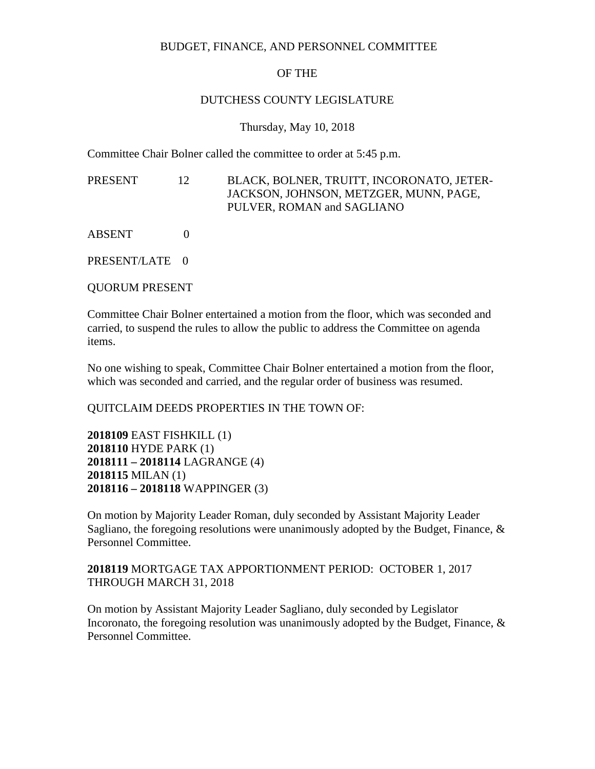# BUDGET, FINANCE, AND PERSONNEL COMMITTEE

# OF THE

## DUTCHESS COUNTY LEGISLATURE

## Thursday, May 10, 2018

Committee Chair Bolner called the committee to order at 5:45 p.m.

PRESENT 12 BLACK, BOLNER, TRUITT, INCORONATO, JETER-JACKSON, JOHNSON, METZGER, MUNN, PAGE, PULVER, ROMAN and SAGLIANO

ABSENT 0

PRESENT/LATE 0

QUORUM PRESENT

Committee Chair Bolner entertained a motion from the floor, which was seconded and carried, to suspend the rules to allow the public to address the Committee on agenda items.

No one wishing to speak, Committee Chair Bolner entertained a motion from the floor, which was seconded and carried, and the regular order of business was resumed.

# QUITCLAIM DEEDS PROPERTIES IN THE TOWN OF:

**2018109** EAST FISHKILL (1) **2018110** HYDE PARK (1) **2018111 – 2018114** LAGRANGE (4) **2018115** MILAN (1) **2018116 – 2018118** WAPPINGER (3)

On motion by Majority Leader Roman, duly seconded by Assistant Majority Leader Sagliano, the foregoing resolutions were unanimously adopted by the Budget, Finance,  $\&$ Personnel Committee.

# **2018119** MORTGAGE TAX APPORTIONMENT PERIOD: OCTOBER 1, 2017 THROUGH MARCH 31, 2018

On motion by Assistant Majority Leader Sagliano, duly seconded by Legislator Incoronato, the foregoing resolution was unanimously adopted by the Budget, Finance,  $\&$ Personnel Committee.